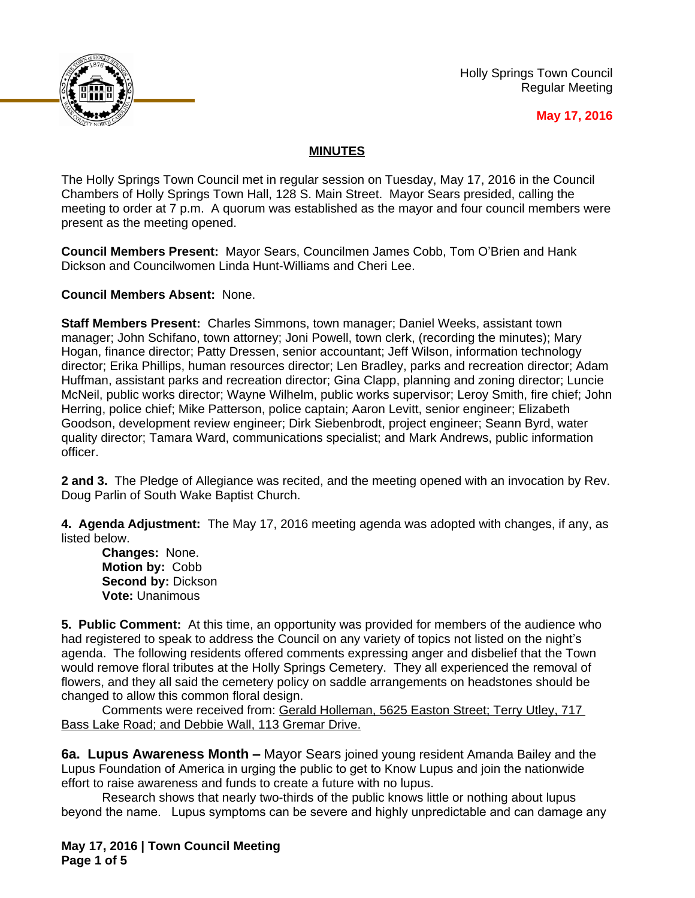

Holly Springs Town Council Regular Meeting

## **May 17, 2016**

## **MINUTES**

The Holly Springs Town Council met in regular session on Tuesday, May 17, 2016 in the Council Chambers of Holly Springs Town Hall, 128 S. Main Street. Mayor Sears presided, calling the meeting to order at 7 p.m. A quorum was established as the mayor and four council members were present as the meeting opened.

**Council Members Present:** Mayor Sears, Councilmen James Cobb, Tom O'Brien and Hank Dickson and Councilwomen Linda Hunt-Williams and Cheri Lee.

**Council Members Absent:** None.

**Staff Members Present:** Charles Simmons, town manager; Daniel Weeks, assistant town manager; John Schifano, town attorney; Joni Powell, town clerk, (recording the minutes); Mary Hogan, finance director; Patty Dressen, senior accountant; Jeff Wilson, information technology director; Erika Phillips, human resources director; Len Bradley, parks and recreation director; Adam Huffman, assistant parks and recreation director; Gina Clapp, planning and zoning director; Luncie McNeil, public works director; Wayne Wilhelm, public works supervisor; Leroy Smith, fire chief; John Herring, police chief; Mike Patterson, police captain; Aaron Levitt, senior engineer; Elizabeth Goodson, development review engineer; Dirk Siebenbrodt, project engineer; Seann Byrd, water quality director; Tamara Ward, communications specialist; and Mark Andrews, public information officer.

**2 and 3.** The Pledge of Allegiance was recited, and the meeting opened with an invocation by Rev. Doug Parlin of South Wake Baptist Church.

**4. Agenda Adjustment:** The May 17, 2016 meeting agenda was adopted with changes, if any, as listed below.

**Changes:** None. **Motion by:** Cobb **Second by:** Dickson **Vote:** Unanimous

**5. Public Comment:** At this time, an opportunity was provided for members of the audience who had registered to speak to address the Council on any variety of topics not listed on the night's agenda. The following residents offered comments expressing anger and disbelief that the Town would remove floral tributes at the Holly Springs Cemetery. They all experienced the removal of flowers, and they all said the cemetery policy on saddle arrangements on headstones should be changed to allow this common floral design.

Comments were received from: Gerald Holleman, 5625 Easton Street; Terry Utley, 717 Bass Lake Road; and Debbie Wall, 113 Gremar Drive.

**6a. Lupus Awareness Month –** Mayor Sears joined young resident Amanda Bailey and the Lupus Foundation of America in urging the public to get to Know Lupus and join the nationwide effort to raise awareness and funds to create a future with no lupus.

Research shows that nearly two-thirds of the public knows little or nothing about lupus beyond the name. Lupus symptoms can be severe and highly unpredictable and can damage any

**May 17, 2016 | Town Council Meeting Page 1 of 5**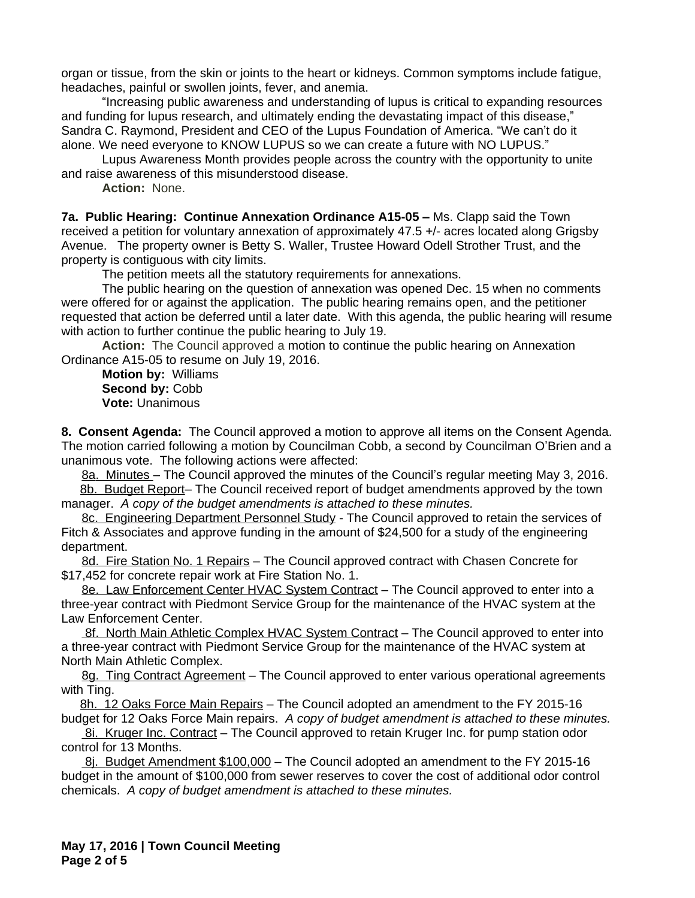organ or tissue, from the skin or joints to the heart or kidneys. Common symptoms include fatigue, headaches, painful or swollen joints, fever, and anemia.

"Increasing public awareness and understanding of lupus is critical to expanding resources and funding for lupus research, and ultimately ending the devastating impact of this disease," Sandra C. Raymond, President and CEO of the Lupus Foundation of America. "We can't do it alone. We need everyone to KNOW LUPUS so we can create a future with NO LUPUS."

Lupus Awareness Month provides people across the country with the opportunity to unite and raise awareness of this misunderstood disease.

**Action:** None.

**7a. Public Hearing: Continue Annexation Ordinance A15-05 –** Ms. Clapp said the Town received a petition for voluntary annexation of approximately 47.5 +/- acres located along Grigsby Avenue. The property owner is Betty S. Waller, Trustee Howard Odell Strother Trust, and the property is contiguous with city limits.

The petition meets all the statutory requirements for annexations.

The public hearing on the question of annexation was opened Dec. 15 when no comments were offered for or against the application. The public hearing remains open, and the petitioner requested that action be deferred until a later date. With this agenda, the public hearing will resume with action to further continue the public hearing to July 19.

**Action:** The Council approved a motion to continue the public hearing on Annexation Ordinance A15-05 to resume on July 19, 2016.

**Motion by:** Williams Second by: Cobb **Vote:** Unanimous

**8. Consent Agenda:** The Council approved a motion to approve all items on the Consent Agenda. The motion carried following a motion by Councilman Cobb, a second by Councilman O'Brien and a unanimous vote. The following actions were affected:

8a. Minutes – The Council approved the minutes of the Council's regular meeting May 3, 2016.

8b. Budget Report– The Council received report of budget amendments approved by the town manager. *A copy of the budget amendments is attached to these minutes.*

8c. Engineering Department Personnel Study - The Council approved to retain the services of Fitch & Associates and approve funding in the amount of \$24,500 for a study of the engineering department.

8d. Fire Station No. 1 Repairs - The Council approved contract with Chasen Concrete for \$17,452 for concrete repair work at Fire Station No. 1.

8e. Law Enforcement Center HVAC System Contract – The Council approved to enter into a three-year contract with Piedmont Service Group for the maintenance of the HVAC system at the Law Enforcement Center.

 8f. North Main Athletic Complex HVAC System Contract – The Council approved to enter into a three-year contract with Piedmont Service Group for the maintenance of the HVAC system at North Main Athletic Complex.

8g. Ting Contract Agreement – The Council approved to enter various operational agreements with Ting.

8h. 12 Oaks Force Main Repairs - The Council adopted an amendment to the FY 2015-16 budget for 12 Oaks Force Main repairs. *A copy of budget amendment is attached to these minutes.*

 8i. Kruger Inc. Contract – The Council approved to retain Kruger Inc. for pump station odor control for 13 Months.

8j. Budget Amendment \$100,000 – The Council adopted an amendment to the FY 2015-16 budget in the amount of \$100,000 from sewer reserves to cover the cost of additional odor control chemicals. *A copy of budget amendment is attached to these minutes.*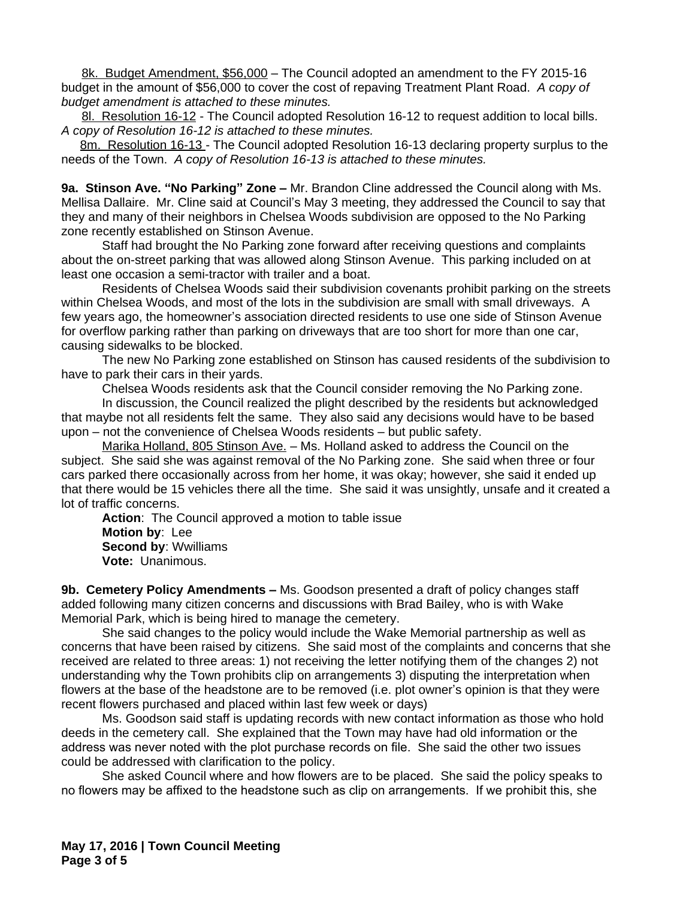8k. Budget Amendment, \$56,000 – The Council adopted an amendment to the FY 2015-16 budget in the amount of \$56,000 to cover the cost of repaving Treatment Plant Road. *A copy of budget amendment is attached to these minutes.*

8l. Resolution 16-12 - The Council adopted Resolution 16-12 to request addition to local bills. *A copy of Resolution 16-12 is attached to these minutes.*

8m. Resolution 16-13 - The Council adopted Resolution 16-13 declaring property surplus to the needs of the Town. *A copy of Resolution 16-13 is attached to these minutes.*

**9a. Stinson Ave. "No Parking" Zone –** Mr. Brandon Cline addressed the Council along with Ms. Mellisa Dallaire. Mr. Cline said at Council's May 3 meeting, they addressed the Council to say that they and many of their neighbors in Chelsea Woods subdivision are opposed to the No Parking zone recently established on Stinson Avenue.

Staff had brought the No Parking zone forward after receiving questions and complaints about the on-street parking that was allowed along Stinson Avenue. This parking included on at least one occasion a semi-tractor with trailer and a boat.

Residents of Chelsea Woods said their subdivision covenants prohibit parking on the streets within Chelsea Woods, and most of the lots in the subdivision are small with small driveways. A few years ago, the homeowner's association directed residents to use one side of Stinson Avenue for overflow parking rather than parking on driveways that are too short for more than one car, causing sidewalks to be blocked.

The new No Parking zone established on Stinson has caused residents of the subdivision to have to park their cars in their yards.

Chelsea Woods residents ask that the Council consider removing the No Parking zone.

In discussion, the Council realized the plight described by the residents but acknowledged that maybe not all residents felt the same. They also said any decisions would have to be based upon – not the convenience of Chelsea Woods residents – but public safety.

Marika Holland, 805 Stinson Ave. – Ms. Holland asked to address the Council on the subject. She said she was against removal of the No Parking zone. She said when three or four cars parked there occasionally across from her home, it was okay; however, she said it ended up that there would be 15 vehicles there all the time. She said it was unsightly, unsafe and it created a lot of traffic concerns.

**Action**: The Council approved a motion to table issue **Motion by**: Lee **Second by**: Wwilliams **Vote:** Unanimous.

**9b. Cemetery Policy Amendments –** Ms. Goodson presented a draft of policy changes staff added following many citizen concerns and discussions with Brad Bailey, who is with Wake Memorial Park, which is being hired to manage the cemetery.

She said changes to the policy would include the Wake Memorial partnership as well as concerns that have been raised by citizens. She said most of the complaints and concerns that she received are related to three areas: 1) not receiving the letter notifying them of the changes 2) not understanding why the Town prohibits clip on arrangements 3) disputing the interpretation when flowers at the base of the headstone are to be removed (i.e. plot owner's opinion is that they were recent flowers purchased and placed within last few week or days)

Ms. Goodson said staff is updating records with new contact information as those who hold deeds in the cemetery call. She explained that the Town may have had old information or the address was never noted with the plot purchase records on file. She said the other two issues could be addressed with clarification to the policy.

She asked Council where and how flowers are to be placed. She said the policy speaks to no flowers may be affixed to the headstone such as clip on arrangements. If we prohibit this, she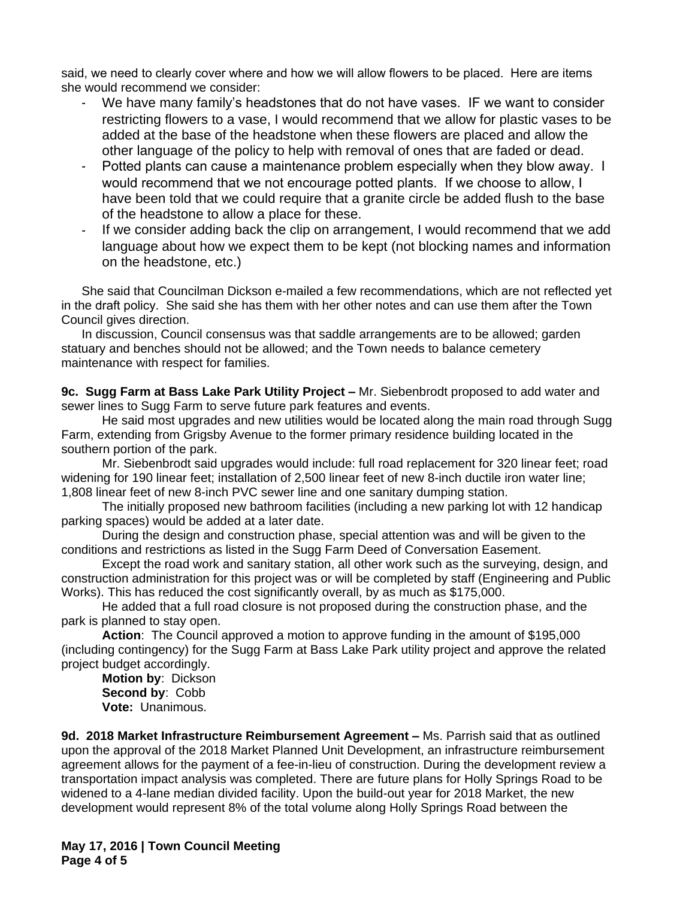said, we need to clearly cover where and how we will allow flowers to be placed. Here are items she would recommend we consider:

- We have many family's headstones that do not have vases. IF we want to consider restricting flowers to a vase, I would recommend that we allow for plastic vases to be added at the base of the headstone when these flowers are placed and allow the other language of the policy to help with removal of ones that are faded or dead.
- Potted plants can cause a maintenance problem especially when they blow away. I would recommend that we not encourage potted plants. If we choose to allow, I have been told that we could require that a granite circle be added flush to the base of the headstone to allow a place for these.
- If we consider adding back the clip on arrangement, I would recommend that we add language about how we expect them to be kept (not blocking names and information on the headstone, etc.)

She said that Councilman Dickson e-mailed a few recommendations, which are not reflected yet in the draft policy. She said she has them with her other notes and can use them after the Town Council gives direction.

In discussion, Council consensus was that saddle arrangements are to be allowed; garden statuary and benches should not be allowed; and the Town needs to balance cemetery maintenance with respect for families.

**9c. Sugg Farm at Bass Lake Park Utility Project –** Mr. Siebenbrodt proposed to add water and sewer lines to Sugg Farm to serve future park features and events.

He said most upgrades and new utilities would be located along the main road through Sugg Farm, extending from Grigsby Avenue to the former primary residence building located in the southern portion of the park.

Mr. Siebenbrodt said upgrades would include: full road replacement for 320 linear feet; road widening for 190 linear feet; installation of 2,500 linear feet of new 8-inch ductile iron water line; 1,808 linear feet of new 8-inch PVC sewer line and one sanitary dumping station.

The initially proposed new bathroom facilities (including a new parking lot with 12 handicap parking spaces) would be added at a later date.

During the design and construction phase, special attention was and will be given to the conditions and restrictions as listed in the Sugg Farm Deed of Conversation Easement.

Except the road work and sanitary station, all other work such as the surveying, design, and construction administration for this project was or will be completed by staff (Engineering and Public Works). This has reduced the cost significantly overall, by as much as \$175,000.

He added that a full road closure is not proposed during the construction phase, and the park is planned to stay open.

**Action**: The Council approved a motion to approve funding in the amount of \$195,000 (including contingency) for the Sugg Farm at Bass Lake Park utility project and approve the related project budget accordingly.

**Motion by**: Dickson **Second by**: Cobb **Vote:** Unanimous.

**9d. 2018 Market Infrastructure Reimbursement Agreement –** Ms. Parrish said that as outlined upon the approval of the 2018 Market Planned Unit Development, an infrastructure reimbursement agreement allows for the payment of a fee-in-lieu of construction. During the development review a transportation impact analysis was completed. There are future plans for Holly Springs Road to be widened to a 4-lane median divided facility. Upon the build-out year for 2018 Market, the new development would represent 8% of the total volume along Holly Springs Road between the